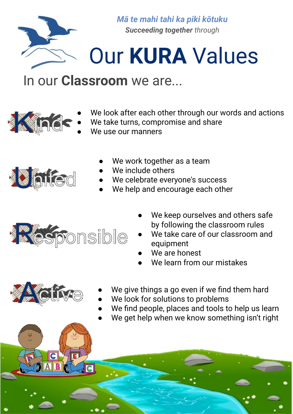

*Mā te mahi tahi ka piki kōtuku Succeeding together through*

## Our **KURA** Values

## In our **Classroom** we are...

- We look after each other through our words and actions
- We take turns, compromise and share
- We use our manners



**Kinds** 

- We work together as a team
- We include others
- We celebrate everyone's success
- We help and encourage each other



 $\overline{C}$ 

- We keep ourselves and others safe by following the classroom rules
- We take care of our classroom and equipment
- We are honest
- We learn from our mistakes



- We give things a go even if we find them hard
- We look for solutions to problems
- We find people, places and tools to help us learn
- We get help when we know something isn't right